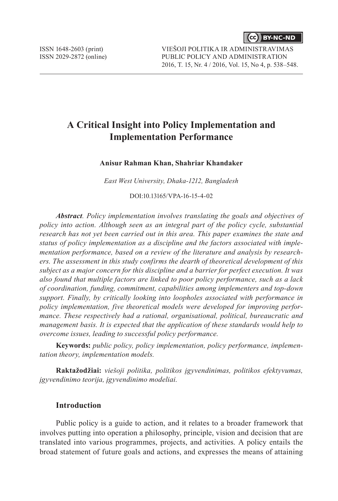**CC** BY-NC-ND

# **A Critical Insight into Policy Implementation and Implementation Performance**

**Anisur Rahman Khan, Shahriar Khandaker** 

*East West University, Dhaka-1212, Bangladesh*

DOI:10.13165/VPA-16-15-4-02

*Abstract. Policy implementation involves translating the goals and objectives of policy into action. Although seen as an integral part of the policy cycle, substantial research has not yet been carried out in this area. This paper examines the state and status of policy implementation as a discipline and the factors associated with implementation performance, based on a review of the literature and analysis by researchers. The assessment in this study confirms the dearth of theoretical development of this subject as a major concern for this discipline and a barrier for perfect execution. It was also found that multiple factors are linked to poor policy performance, such as a lack of coordination, funding, commitment, capabilities among implementers and top-down support. Finally, by critically looking into loopholes associated with performance in policy implementation, five theoretical models were developed for improving performance. These respectively had a rational, organisational, political, bureaucratic and management basis. It is expected that the application of these standards would help to overcome issues, leading to successful policy performance.* 

**Keywords:** *public policy, policy implementation, policy performance, implementation theory, implementation models.*

**Raktažodžiai:** *viešoji politika, politikos įgyvendinimas, politikos efektyvumas, įgyvendinimo teorija, įgyvendinimo modeliai.*

## **Introduction**

Public policy is a guide to action, and it relates to a broader framework that involves putting into operation a philosophy, principle, vision and decision that are translated into various programmes, projects, and activities. A policy entails the broad statement of future goals and actions, and expresses the means of attaining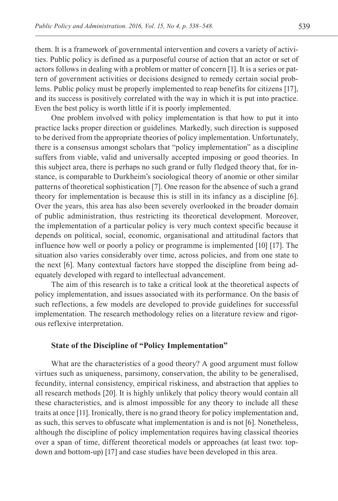them. It is a framework of governmental intervention and covers a variety of activities. Public policy is defined as a purposeful course of action that an actor or set of actors follows in dealing with a problem or matter of concern [1]. It is a series or pattern of government activities or decisions designed to remedy certain social problems. Public policy must be properly implemented to reap benefits for citizens [17], and its success is positively correlated with the way in which it is put into practice. Even the best policy is worth little if it is poorly implemented.

One problem involved with policy implementation is that how to put it into practice lacks proper direction or guidelines. Markedly, such direction is supposed to be derived from the appropriate theories of policy implementation. Unfortunately, there is a consensus amongst scholars that "policy implementation" as a discipline suffers from viable, valid and universally accepted imposing or good theories. In this subject area, there is perhaps no such grand or fully fledged theory that, for instance, is comparable to Durkheim's sociological theory of anomie or other similar patterns of theoretical sophistication [7]. One reason for the absence of such a grand theory for implementation is because this is still in its infancy as a discipline [6]. Over the years, this area has also been severely overlooked in the broader domain of public administration, thus restricting its theoretical development. Moreover, the implementation of a particular policy is very much context specific because it depends on political, social, economic, organisational and attitudinal factors that influence how well or poorly a policy or programme is implemented [10] [17]. The situation also varies considerably over time, across policies, and from one state to the next [6]. Many contextual factors have stopped the discipline from being adequately developed with regard to intellectual advancement.

The aim of this research is to take a critical look at the theoretical aspects of policy implementation, and issues associated with its performance. On the basis of such reflections, a few models are developed to provide guidelines for successful implementation. The research methodology relies on a literature review and rigorous reflexive interpretation.

### **State of the Discipline of "Policy Implementation"**

What are the characteristics of a good theory? A good argument must follow virtues such as uniqueness, parsimony, conservation, the ability to be generalised, fecundity, internal consistency, empirical riskiness, and abstraction that applies to all research methods [20]. It is highly unlikely that policy theory would contain all these characteristics, and is almost impossible for any theory to include all these traits at once [11]. Ironically, there is no grand theory for policy implementation and, as such, this serves to obfuscate what implementation is and is not [6]. Nonetheless, although the discipline of policy implementation requires having classical theories over a span of time, different theoretical models or approaches (at least two: topdown and bottom-up) [17] and case studies have been developed in this area.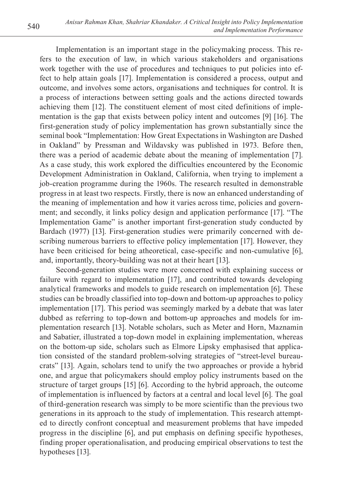Implementation is an important stage in the policymaking process. This refers to the execution of law, in which various stakeholders and organisations work together with the use of procedures and techniques to put policies into effect to help attain goals [17]. Implementation is considered a process, output and outcome, and involves some actors, organisations and techniques for control. It is a process of interactions between setting goals and the actions directed towards achieving them [12]. The constituent element of most cited definitions of implementation is the gap that exists between policy intent and outcomes [9] [16]. The first-generation study of policy implementation has grown substantially since the seminal book "Implementation: How Great Expectations in Washington are Dashed in Oakland" by Pressman and Wildavsky was published in 1973. Before then, there was a period of academic debate about the meaning of implementation [7]. As a case study, this work explored the difficulties encountered by the Economic Development Administration in Oakland, California, when trying to implement a job-creation programme during the 1960s. The research resulted in demonstrable progress in at least two respects. Firstly, there is now an enhanced understanding of the meaning of implementation and how it varies across time, policies and government; and secondly, it links policy design and application performance [17]. "The Implementation Game" is another important first-generation study conducted by Bardach (1977) [13]. First-generation studies were primarily concerned with describing numerous barriers to effective policy implementation [17]. However, they have been criticised for being atheoretical, case-specific and non-cumulative [6], and, importantly, theory-building was not at their heart [13].

Second-generation studies were more concerned with explaining success or failure with regard to implementation [17], and contributed towards developing analytical frameworks and models to guide research on implementation [6]. These studies can be broadly classified into top-down and bottom-up approaches to policy implementation [17]. This period was seemingly marked by a debate that was later dubbed as referring to top-down and bottom-up approaches and models for implementation research [13]. Notable scholars, such as Meter and Horn, Maznamin and Sabatier, illustrated a top-down model in explaining implementation, whereas on the bottom-up side, scholars such as Elmore Lipsky emphasised that application consisted of the standard problem-solving strategies of "street-level bureaucrats" [13]. Again, scholars tend to unify the two approaches or provide a hybrid one, and argue that policymakers should employ policy instruments based on the structure of target groups [15] [6]. According to the hybrid approach, the outcome of implementation is influenced by factors at a central and local level [6]. The goal of third-generation research was simply to be more scientific than the previous two generations in its approach to the study of implementation. This research attempted to directly confront conceptual and measurement problems that have impeded progress in the discipline [6], and put emphasis on defining specific hypotheses, finding proper operationalisation, and producing empirical observations to test the hypotheses [13].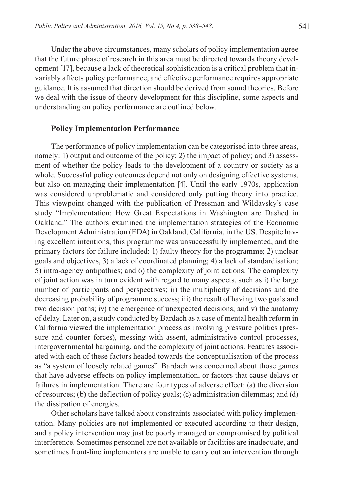Under the above circumstances, many scholars of policy implementation agree that the future phase of research in this area must be directed towards theory development [17], because a lack of theoretical sophistication is a critical problem that invariably affects policy performance, and effective performance requires appropriate guidance. It is assumed that direction should be derived from sound theories. Before we deal with the issue of theory development for this discipline, some aspects and understanding on policy performance are outlined below.

#### **Policy Implementation Performance**

The performance of policy implementation can be categorised into three areas, namely: 1) output and outcome of the policy; 2) the impact of policy; and 3) assessment of whether the policy leads to the development of a country or society as a whole. Successful policy outcomes depend not only on designing effective systems, but also on managing their implementation [4]. Until the early 1970s, application was considered unproblematic and considered only putting theory into practice. This viewpoint changed with the publication of Pressman and Wildavsky's case study "Implementation: How Great Expectations in Washington are Dashed in Oakland." The authors examined the implementation strategies of the Economic Development Administration (EDA) in Oakland, California, in the US. Despite having excellent intentions, this programme was unsuccessfully implemented, and the primary factors for failure included: 1) faulty theory for the programme; 2) unclear goals and objectives, 3) a lack of coordinated planning; 4) a lack of standardisation; 5) intra-agency antipathies; and 6) the complexity of joint actions. The complexity of joint action was in turn evident with regard to many aspects, such as i) the large number of participants and perspectives; ii) the multiplicity of decisions and the decreasing probability of programme success; iii) the result of having two goals and two decision paths; iv) the emergence of unexpected decisions; and v) the anatomy of delay. Later on, a study conducted by Bardach as a case of mental health reform in California viewed the implementation process as involving pressure politics (pressure and counter forces), messing with assent, administrative control processes, intergovernmental bargaining, and the complexity of joint actions. Features associated with each of these factors headed towards the conceptualisation of the process as "a system of loosely related games". Bardach was concerned about those games that have adverse effects on policy implementation, or factors that cause delays or failures in implementation. There are four types of adverse effect: (a) the diversion of resources; (b) the deflection of policy goals; (c) administration dilemmas; and (d) the dissipation of energies.

Other scholars have talked about constraints associated with policy implementation. Many policies are not implemented or executed according to their design, and a policy intervention may just be poorly managed or compromised by political interference. Sometimes personnel are not available or facilities are inadequate, and sometimes front-line implementers are unable to carry out an intervention through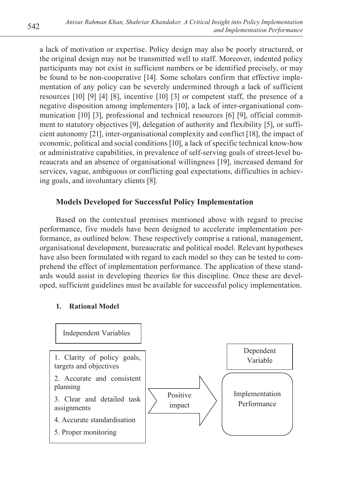a lack of motivation or expertise. Policy design may also be poorly structured, or the original design may not be transmitted well to staff. Moreover, indented policy participants may not exist in sufficient numbers or be identified precisely, or may be found to be non-cooperative [14]. Some scholars confirm that effective implementation of any policy can be severely undermined through a lack of sufficient resources [10] [9] [4] [8], incentive [10] [3] or competent staff, the presence of a negative disposition among implementers [10], a lack of inter-organisational communication [10] [3], professional and technical resources [6] [9], official commitment to statutory objectives [9], delegation of authority and flexibility [5], or sufficient autonomy [21], inter-organisational complexity and conflict [18], the impact of economic, political and social conditions [10], a lack of specific technical know-how or administrative capabilities, in prevalence of self-serving goals of street-level bureaucrats and an absence of organisational willingness [19], increased demand for services, vague, ambiguous or conflicting goal expectations, difficulties in achieving goals, and involuntary clients [8].

# **Models Developed for Successful Policy Implementation**

Based on the contextual premises mentioned above with regard to precise performance, five models have been designed to accelerate implementation performance, as outlined below. These respectively comprise a rational, management, organisational development, bureaucratic and political model. Relevant hypotheses have also been formulated with regard to each model so they can be tested to comprehend the effect of implementation performance. The application of these standards would assist in developing theories for this discipline. Once these are developed, sufficient guidelines must be available for successful policy implementation.

# **1. Rational Model**

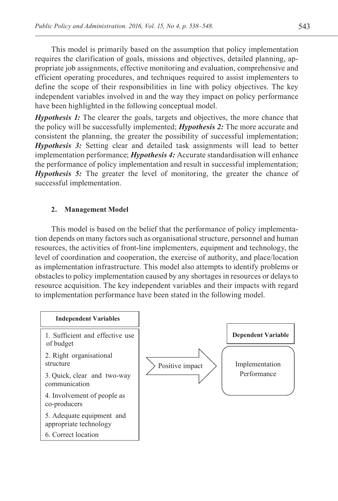This model is primarily based on the assumption that policy implementation requires the clarification of goals, missions and objectives, detailed planning, appropriate job assignments, effective monitoring and evaluation, comprehensive and efficient operating procedures, and techniques required to assist implementers to define the scope of their responsibilities in line with policy objectives. The key independent variables involved in and the way they impact on policy performance have been highlighted in the following conceptual model.

*Hypothesis 1:* The clearer the goals, targets and objectives, the more chance that the policy will be successfully implemented; *Hypothesis 2:* The more accurate and consistent the planning, the greater the possibility of successful implementation; *Hypothesis 3:* Setting clear and detailed task assignments will lead to better implementation performance; *Hypothesis 4:* Accurate standardisation will enhance the performance of policy implementation and result in successful implementation; *Hypothesis 5:* The greater the level of monitoring, the greater the chance of successful implementation.

### **2. Management Model**

This model is based on the belief that the performance of policy implementation depends on many factors such as organisational structure, personnel and human resources, the activities of front-line implementers, equipment and technology, the level of coordination and cooperation, the exercise of authority, and place/location as implementation infrastructure. This model also attempts to identify problems or obstacles to policy implementation caused by any shortages in resources or delays to resource acquisition. The key independent variables and their impacts with regard to implementation performance have been stated in the following model.

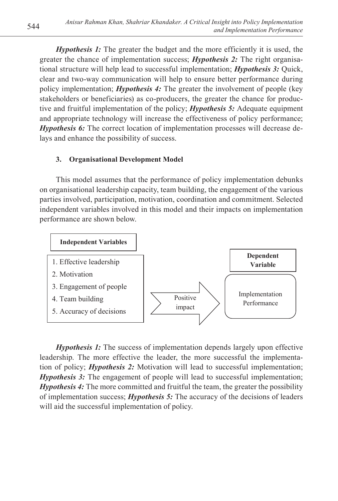*Hypothesis 1:* The greater the budget and the more efficiently it is used, the greater the chance of implementation success; *Hypothesis 2:* The right organisational structure will help lead to successful implementation; *Hypothesis 3:* Quick, clear and two-way communication will help to ensure better performance during policy implementation; *Hypothesis 4:* The greater the involvement of people (key stakeholders or beneficiaries) as co-producers, the greater the chance for productive and fruitful implementation of the policy; *Hypothesis 5:* Adequate equipment and appropriate technology will increase the effectiveness of policy performance; *Hypothesis 6:* The correct location of implementation processes will decrease delays and enhance the possibility of success.

# **3. Organisational Development Model**

This model assumes that the performance of policy implementation debunks on organisational leadership capacity, team building, the engagement of the various parties involved, participation, motivation, coordination and commitment. Selected independent variables involved in this model and their impacts on implementation performance are shown below.



*Hypothesis 1:* The success of implementation depends largely upon effective leadership. The more effective the leader, the more successful the implementation of policy; *H* tion of policy; *Hypothesis 2:* Motivation will lead to successful implementation; *Hypothesis 3:* The engagement of people will lead to successful implementation;  *The more committed and fruitful the team, the greater the possibility* of implementation success; *Hypothesis 5*: The accuracy of the decisions of leaders will aid the successful implementation of policy.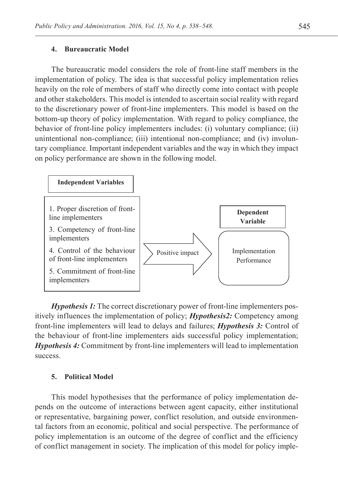#### **4. Bureaucratic Model**

The bureaucratic model considers the role of front-line staff members in the implementation of policy. The idea is that successful policy implementation relies heavily on the role of members of staff who directly come into contact with people  $\frac{1}{2}$ and other stakeholders. This model is intended to ascertain social reality with regard to the discretionary power of front-line implementers. This model is based on the bottom-up theory of policy implementation. With regard to policy compliance, the behavior of front-line policy implementers includes: (i) voluntary compliance; (ii) unintentional non-compliance; (iii) intentional non-compliance; and (iv) involun $t$  tary compliance. Important independent variables and the way in which they impact on policy performance are shown in the following model.



*Hypothesis 1:* The correct discretionary power of front-line implementers positively influences the implementation of policy; *Hypothesis2:* Competency among front-line implementers will lead to delays and failures; *Hypothesis 3:* Control of the behaviour of front-line implementers aids successful policy implementation; *Hypothesis 4:* Commitment by front-line implementers will lead to implementation success.

### **5. Political Model**

This model hypothesises that the performance of policy implementation depends on the outcome of interactions between agent capacity, either institutional or representative, bargaining power, conflict resolution, and outside environmental factors from an economic, political and social perspective. The performance of policy implementation is an outcome of the degree of conflict and the efficiency of conflict management in society. The implication of this model for policy imple-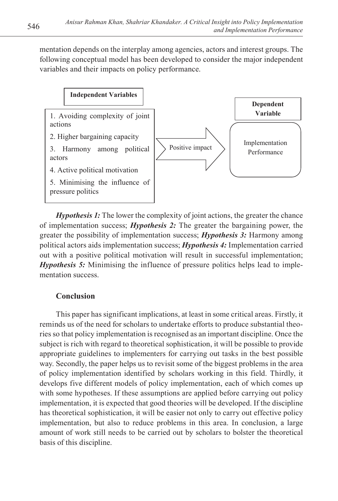mentation depends on the interplay among agencies, actors and interest groups. The following conceptual model has been developed to consider the major independent following conceptual model has been developed to consider the major independent variables and their impacts on policy performance.



*Hypothesis 1*: The lower the complexity of joint actions, the greater the chance of implementation success; *Hypothesis 2*: The greater the bargaining power, the greater the possibility of implementation success; *Hypothesis 3:* Harmony among political actors aids implementation success; *Hypothesis 4:* Implementation carried out with a positive political motivation will result in successful implementation; *Hypothesis 5:* Minimising the influence of pressure politics helps lead to implementation success.

# **Conclusion**

This paper has significant implications, at least in some critical areas. Firstly, it reminds us of the need for scholars to undertake efforts to produce substantial theories so that policy implementation is recognised as an important discipline. Once the subject is rich with regard to theoretical sophistication, it will be possible to provide appropriate guidelines to implementers for carrying out tasks in the best possible way. Secondly, the paper helps us to revisit some of the biggest problems in the area of policy implementation identified by scholars working in this field. Thirdly, it develops five different models of policy implementation, each of which comes up with some hypotheses. If these assumptions are applied before carrying out policy implementation, it is expected that good theories will be developed. If the discipline has theoretical sophistication, it will be easier not only to carry out effective policy implementation, but also to reduce problems in this area. In conclusion, a large amount of work still needs to be carried out by scholars to bolster the theoretical basis of this discipline.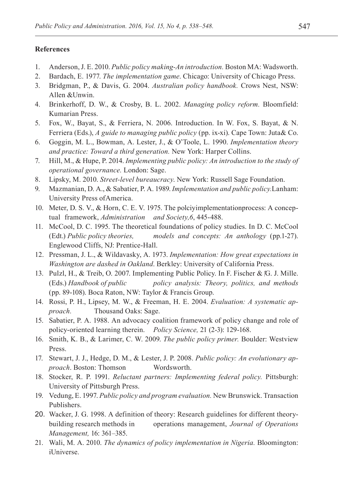#### **References**

- 1. Anderson, J. E. 2010. *Public policy making-An introduction.* Boston MA: Wadsworth.
- 2. Bardach, E. 1977. *The implementation game*. Chicago: University of Chicago Press.
- 3. Bridgman, P., & Davis, G. 2004. *Australian policy handbook.* Crows Nest, NSW: Allen &Unwin.
- 4. Brinkerhoff, D. W., & Crosby, B. L. 2002. *Managing policy reform.* Bloomfield: Kumarian Press.
- 5. Fox, W., Bayat, S., & Ferriera, N. 2006. Introduction. In W. Fox, S. Bayat, & N. Ferriera (Eds.), *A guide to managing public policy* (pp. ix-xi). Cape Town: Juta& Co.
- 6. Goggin, M. L., Bowman, A. Lester, J., & O'Toole, L. 1990. *Implementation theory and practice: Toward a third generation.* New York: Harper Collins.
- 7. Hill, M., & Hupe, P. 2014. *Implementing public policy: An introduction to the study of operational governance.* London: Sage.
- 8. Lipsky, M. 2010. *Street-level bureaucracy*. New York: Russell Sage Foundation.
- 9. Mazmanian, D. A., & Sabatier, P. A. 1989. *Implementation and public policy.*Lanham: University Press ofAmerica.
- 10. Meter, D. S. V., & Horn, C. E. V. 1975. The polciyimplementationprocess: A conceptual framework, *Administration and Society,6*, 445-488.
- 11. McCool, D. C. 1995. The theoretical foundations of policy studies. In D. C. McCool (Edt.) *Public policy theories, models and concepts: An anthology* (pp.1-27). Englewood Cliffs, NJ: Prentice-Hall.
- 12. Pressman, J. L., & Wildavasky, A. 1973. *Implementation: How great expectations in Washington are dashed in Oakland*. Berkley: University of California Press.
- 13. Pulzl, H., & Treib, O. 2007. Implementing Public Policy. In F. Fischer & G. J. Mille. (Eds.) *Handbook of public policy analysis: Theory, politics, and methods*  (pp. 89-108). Boca Raton, NW: Taylor & Francis Group.
- 14. Rossi, P. H., Lipsey, M. W., & Freeman, H. E. 2004. *Evaluation: A systematic approach.* Thousand Oaks: Sage.
- 15. Sabatier, P. A. 1988. An advocacy coalition framework of policy change and role of policy-oriented learning therein. *Policy Science,* 21 (2-3): 129-168.
- 16. Smith, K. B., & Larimer, C. W. 2009. *The public policy primer.* Boulder: Westview Press.
- 17. Stewart, J. J., Hedge, D. M., & Lester, J. P. 2008. *Public policy: An evolutionary approach*. Boston: Thomson Wordsworth.
- 18. Stocker, R. P. 1991. *Reluctant partners: Implementing federal policy.* Pittsburgh: University of Pittsburgh Press.
- 19. Vedung, E. 1997. *Public policy and program evaluation.* New Brunswick. Transaction Publishers.
- 20. Wacker, J. G. 1998. A definition of theory: Research guidelines for different theorybuilding research methods in operations management, *Journal of Operations Management,* 16: 361–385.
- 21. Wali, M. A. 2010. *The dynamics of policy implementation in Nigeria.* Bloomington: iUniverse.